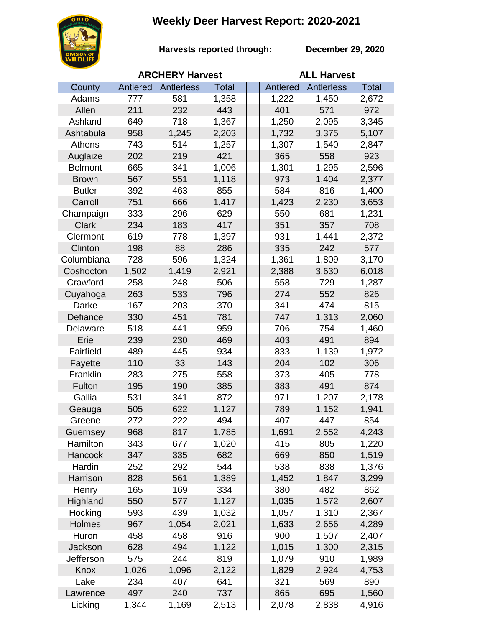## **Weekly Deer Harvest Report: 2020-2021**



**Harvests reported through:** 

**December 29, 2020**

|                | <b>ARCHERY Harvest</b> |            |              |  | <b>ALL Harvest</b> |                   |              |  |
|----------------|------------------------|------------|--------------|--|--------------------|-------------------|--------------|--|
| County         | Antlered               | Antlerless | <b>Total</b> |  | Antlered           | <b>Antlerless</b> | <b>Total</b> |  |
| Adams          | 777                    | 581        | 1,358        |  | 1,222              | 1,450             | 2,672        |  |
| Allen          | 211                    | 232        | 443          |  | 401                | 571               | 972          |  |
| Ashland        | 649                    | 718        | 1,367        |  | 1,250              | 2,095             | 3,345        |  |
| Ashtabula      | 958                    | 1,245      | 2,203        |  | 1,732              | 3,375             | 5,107        |  |
| Athens         | 743                    | 514        | 1,257        |  | 1,307              | 1,540             | 2,847        |  |
| Auglaize       | 202                    | 219        | 421          |  | 365                | 558               | 923          |  |
| <b>Belmont</b> | 665                    | 341        | 1,006        |  | 1,301              | 1,295             | 2,596        |  |
| <b>Brown</b>   | 567                    | 551        | 1,118        |  | 973                | 1,404             | 2,377        |  |
| <b>Butler</b>  | 392                    | 463        | 855          |  | 584                | 816               | 1,400        |  |
| Carroll        | 751                    | 666        | 1,417        |  | 1,423              | 2,230             | 3,653        |  |
| Champaign      | 333                    | 296        | 629          |  | 550                | 681               | 1,231        |  |
| <b>Clark</b>   | 234                    | 183        | 417          |  | 351                | 357               | 708          |  |
| Clermont       | 619                    | 778        | 1,397        |  | 931                | 1,441             | 2,372        |  |
| Clinton        | 198                    | 88         | 286          |  | 335                | 242               | 577          |  |
| Columbiana     | 728                    | 596        | 1,324        |  | 1,361              | 1,809             | 3,170        |  |
| Coshocton      | 1,502                  | 1,419      | 2,921        |  | 2,388              | 3,630             | 6,018        |  |
| Crawford       | 258                    | 248        | 506          |  | 558                | 729               | 1,287        |  |
| Cuyahoga       | 263                    | 533        | 796          |  | 274                | 552               | 826          |  |
| Darke          | 167                    | 203        | 370          |  | 341                | 474               | 815          |  |
| Defiance       | 330                    | 451        | 781          |  | 747                | 1,313             | 2,060        |  |
| Delaware       | 518                    | 441        | 959          |  | 706                | 754               | 1,460        |  |
| Erie           | 239                    | 230        | 469          |  | 403                | 491               | 894          |  |
| Fairfield      | 489                    | 445        | 934          |  | 833                | 1,139             | 1,972        |  |
| Fayette        | 110                    | 33         | 143          |  | 204                | 102               | 306          |  |
| Franklin       | 283                    | 275        | 558          |  | 373                | 405               | 778          |  |
| Fulton         | 195                    | 190        | 385          |  | 383                | 491               | 874          |  |
| Gallia         | 531                    | 341        | 872          |  | 971                | 1,207             | 2,178        |  |
| Geauga         | 505                    | 622        | 1,127        |  | 789                | 1,152             | 1,941        |  |
| Greene         | 272                    | 222        | 494          |  | 407                | 447               | 854          |  |
| Guernsey       | 968                    | 817        | 1,785        |  | 1,691              | 2,552             | 4,243        |  |
| Hamilton       | 343                    | 677        | 1,020        |  | 415                | 805               | 1,220        |  |
| Hancock        | 347                    | 335        | 682          |  | 669                | 850               | 1,519        |  |
| Hardin         | 252                    | 292        | 544          |  | 538                | 838               | 1,376        |  |
| Harrison       | 828                    | 561        | 1,389        |  | 1,452              | 1,847             | 3,299        |  |
| Henry          | 165                    | 169        | 334          |  | 380                | 482               | 862          |  |
| Highland       | 550                    | 577        | 1,127        |  | 1,035              | 1,572             | 2,607        |  |
| Hocking        | 593                    | 439        | 1,032        |  | 1,057              | 1,310             | 2,367        |  |
| Holmes         | 967                    | 1,054      | 2,021        |  | 1,633              | 2,656             | 4,289        |  |
| Huron          | 458                    | 458        | 916          |  | 900                | 1,507             | 2,407        |  |
| Jackson        | 628                    | 494        | 1,122        |  | 1,015              | 1,300             | 2,315        |  |
| Jefferson      | 575                    | 244        | 819          |  | 1,079              | 910               | 1,989        |  |
| Knox           | 1,026                  | 1,096      | 2,122        |  | 1,829              | 2,924             | 4,753        |  |
| Lake           | 234                    | 407        | 641          |  | 321                | 569               | 890          |  |
| Lawrence       | 497                    | 240        | 737          |  | 865                | 695               | 1,560        |  |
| Licking        | 1,344                  | 1,169      | 2,513        |  | 2,078              | 2,838             | 4,916        |  |